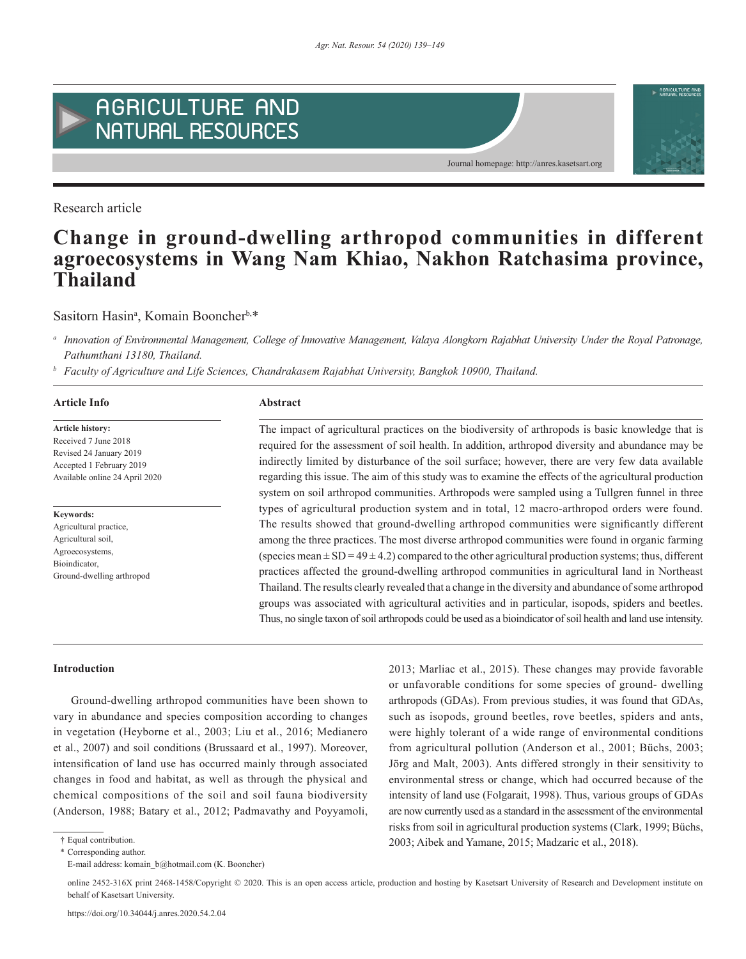

Research article



# **Change in ground-dwelling arthropod communities in different agroecosystems in Wang Nam Khiao, Nakhon Ratchasima province, Thailand**

Sasitorn Hasin<sup>a</sup>, Komain Booncher<sup>b,\*</sup>

*<sup>a</sup> Innovation of Environmental Management, College of Innovative Management, Valaya Alongkorn Rajabhat University Under the Royal Patronage, Pathumthani 13180, Thailand.* 

*<sup>b</sup> Faculty of Agriculture and Life Sciences, Chandrakasem Rajabhat University, Bangkok 10900, Thailand.*

# **Article Info Abstract**

**Article history:** Received 7 June 2018 Revised 24 January 2019 Accepted 1 February 2019 Available online 24 April 2020

# **Keywords:**

Agricultural practice, Agricultural soil, Agroecosystems, Bioindicator, Ground-dwelling arthropod

The impact of agricultural practices on the biodiversity of arthropods is basic knowledge that is required for the assessment of soil health. In addition, arthropod diversity and abundance may be indirectly limited by disturbance of the soil surface; however, there are very few data available regarding this issue. The aim of this study was to examine the effects of the agricultural production system on soil arthropod communities. Arthropods were sampled using a Tullgren funnel in three types of agricultural production system and in total, 12 macro-arthropod orders were found. The results showed that ground-dwelling arthropod communities were significantly different among the three practices. The most diverse arthropod communities were found in organic farming (species mean  $\pm$  SD = 49  $\pm$  4.2) compared to the other agricultural production systems; thus, different practices affected the ground-dwelling arthropod communities in agricultural land in Northeast Thailand. The results clearly revealed that a change in the diversity and abundance of some arthropod groups was associated with agricultural activities and in particular, isopods, spiders and beetles. Thus, no single taxon of soil arthropods could be used as a bioindicator of soil health and land use intensity.

#### **Introduction**

Ground-dwelling arthropod communities have been shown to vary in abundance and species composition according to changes in vegetation (Heyborne et al., 2003; Liu et al., 2016; Medianero et al., 2007) and soil conditions (Brussaard et al., 1997). Moreover, intensification of land use has occurred mainly through associated changes in food and habitat, as well as through the physical and chemical compositions of the soil and soil fauna biodiversity (Anderson, 1988; Batary et al., 2012; Padmavathy and Poyyamoli,

<sup>2013;</sup> Marliac et al., 2015). These changes may provide favorable or unfavorable conditions for some species of ground- dwelling arthropods (GDAs). From previous studies, it was found that GDAs, such as isopods, ground beetles, rove beetles, spiders and ants, were highly tolerant of a wide range of environmental conditions from agricultural pollution (Anderson et al., 2001; Büchs, 2003; Jörg and Malt, 2003). Ants differed strongly in their sensitivity to environmental stress or change, which had occurred because of the intensity of land use (Folgarait, 1998). Thus, various groups of GDAs are now currently used as a standard in the assessment of the environmental risks from soil in agricultural production systems (Clark, 1999; Büchs, 2003; Aibek and Yamane, 2015; Madzaric et al., 2018).

<sup>†</sup> Equal contribution.

<sup>\*</sup> Corresponding author.

E-mail address: komain\_b@hotmail.com (K. Booncher)

online 2452-316X print 2468-1458/Copyright © 2020. This is an open access article, production and hosting by Kasetsart University of Research and Development institute on behalf of Kasetsart University.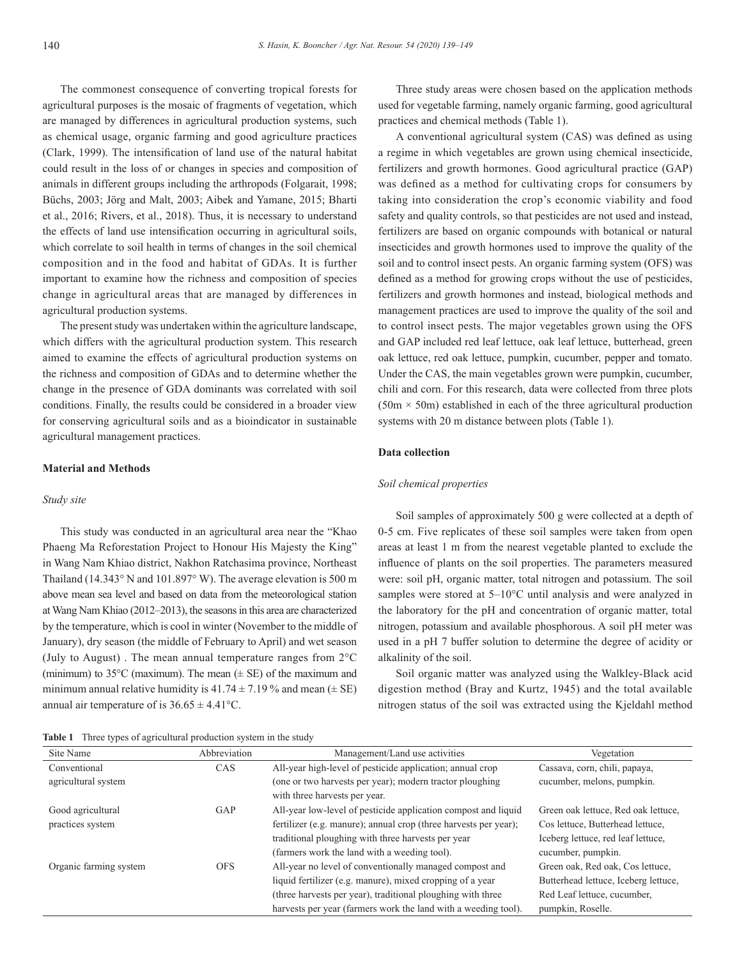The commonest consequence of converting tropical forests for agricultural purposes is the mosaic of fragments of vegetation, which are managed by differences in agricultural production systems, such as chemical usage, organic farming and good agriculture practices (Clark, 1999). The intensification of land use of the natural habitat could result in the loss of or changes in species and composition of animals in different groups including the arthropods (Folgarait, 1998; Büchs, 2003; Jörg and Malt, 2003; Aibek and Yamane, 2015; Bharti et al., 2016; Rivers, et al., 2018). Thus, it is necessary to understand the effects of land use intensification occurring in agricultural soils, which correlate to soil health in terms of changes in the soil chemical composition and in the food and habitat of GDAs. It is further important to examine how the richness and composition of species change in agricultural areas that are managed by differences in agricultural production systems.

The present study was undertaken within the agriculture landscape, which differs with the agricultural production system. This research aimed to examine the effects of agricultural production systems on the richness and composition of GDAs and to determine whether the change in the presence of GDA dominants was correlated with soil conditions. Finally, the results could be considered in a broader view for conserving agricultural soils and as a bioindicator in sustainable agricultural management practices.

# **Material and Methods**

# *Study site*

This study was conducted in an agricultural area near the "Khao Phaeng Ma Reforestation Project to Honour His Majesty the King" in Wang Nam Khiao district, Nakhon Ratchasima province, Northeast Thailand (14.343° N and 101.897° W). The average elevation is 500 m above mean sea level and based on data from the meteorological station at Wang Nam Khiao (2012–2013), the seasons in this area are characterized by the temperature, which is cool in winter (November to the middle of January), dry season (the middle of February to April) and wet season (July to August) . The mean annual temperature ranges from 2°C (minimum) to  $35^{\circ}$ C (maximum). The mean ( $\pm$  SE) of the maximum and minimum annual relative humidity is  $41.74 \pm 7.19$  % and mean ( $\pm$  SE) annual air temperature of is  $36.65 \pm 4.41^{\circ}$ C.

**Table 1** Three types of agricultural production system in the study

Three study areas were chosen based on the application methods used for vegetable farming, namely organic farming, good agricultural practices and chemical methods (Table 1).

A conventional agricultural system (CAS) was defined as using a regime in which vegetables are grown using chemical insecticide, fertilizers and growth hormones. Good agricultural practice (GAP) was defined as a method for cultivating crops for consumers by taking into consideration the crop's economic viability and food safety and quality controls, so that pesticides are not used and instead, fertilizers are based on organic compounds with botanical or natural insecticides and growth hormones used to improve the quality of the soil and to control insect pests. An organic farming system (OFS) was defined as a method for growing crops without the use of pesticides, fertilizers and growth hormones and instead, biological methods and management practices are used to improve the quality of the soil and to control insect pests. The major vegetables grown using the OFS and GAP included red leaf lettuce, oak leaf lettuce, butterhead, green oak lettuce, red oak lettuce, pumpkin, cucumber, pepper and tomato. Under the CAS, the main vegetables grown were pumpkin, cucumber, chili and corn. For this research, data were collected from three plots  $(50m \times 50m)$  established in each of the three agricultural production systems with 20 m distance between plots (Table 1).

# **Data collection**

# *Soil chemical properties*

Soil samples of approximately 500 g were collected at a depth of 0-5 cm. Five replicates of these soil samples were taken from open areas at least 1 m from the nearest vegetable planted to exclude the influence of plants on the soil properties. The parameters measured were: soil pH, organic matter, total nitrogen and potassium. The soil samples were stored at 5–10°C until analysis and were analyzed in the laboratory for the pH and concentration of organic matter, total nitrogen, potassium and available phosphorous. A soil pH meter was used in a pH 7 buffer solution to determine the degree of acidity or alkalinity of the soil.

Soil organic matter was analyzed using the Walkley-Black acid digestion method (Bray and Kurtz, 1945) and the total available nitrogen status of the soil was extracted using the Kjeldahl method

| Site Name              | Abbreviation | Management/Land use activities                                   | Vegetation                           |
|------------------------|--------------|------------------------------------------------------------------|--------------------------------------|
| Conventional           | <b>CAS</b>   | All-year high-level of pesticide application; annual crop        | Cassava, corn, chili, papaya,        |
| agricultural system    |              | (one or two harvests per year); modern tractor ploughing         | cucumber, melons, pumpkin.           |
|                        |              | with three harvests per year.                                    |                                      |
| Good agricultural      | GAP          | All-year low-level of pesticide application compost and liquid   | Green oak lettuce, Red oak lettuce,  |
| practices system       |              | fertilizer (e.g. manure); annual crop (three harvests per year); | Cos lettuce, Butterhead lettuce,     |
|                        |              | traditional ploughing with three harvests per year               | Iceberg lettuce, red leaf lettuce,   |
|                        |              | (farmers work the land with a weeding tool).                     | cucumber, pumpkin.                   |
| Organic farming system | <b>OFS</b>   | All-year no level of conventionally managed compost and          | Green oak, Red oak, Cos lettuce,     |
|                        |              | liquid fertilizer (e.g. manure), mixed cropping of a year        | Butterhead lettuce, Iceberg lettuce, |
|                        |              | (three harvests per year), traditional ploughing with three      | Red Leaf lettuce, cucumber,          |
|                        |              | harvests per year (farmers work the land with a weeding tool).   | pumpkin, Roselle.                    |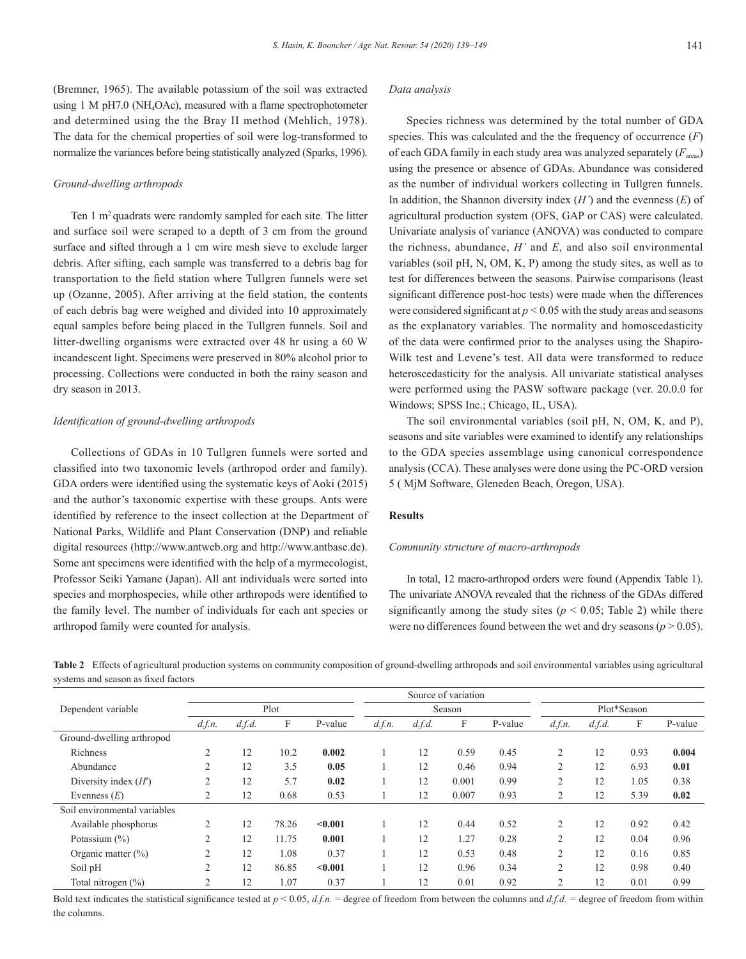(Bremner, 1965). The available potassium of the soil was extracted using 1 M pH7.0 (NH4OAc), measured with a flame spectrophotometer and determined using the the Bray II method (Mehlich, 1978). The data for the chemical properties of soil were log-transformed to normalize the variances before being statistically analyzed (Sparks, 1996).

#### *Ground-dwelling arthropods*

Ten 1 m2 quadrats were randomly sampled for each site. The litter and surface soil were scraped to a depth of 3 cm from the ground surface and sifted through a 1 cm wire mesh sieve to exclude larger debris. After sifting, each sample was transferred to a debris bag for transportation to the field station where Tullgren funnels were set up (Ozanne, 2005). After arriving at the field station, the contents of each debris bag were weighed and divided into 10 approximately equal samples before being placed in the Tullgren funnels. Soil and litter-dwelling organisms were extracted over 48 hr using a 60 W incandescent light. Specimens were preserved in 80% alcohol prior to processing. Collections were conducted in both the rainy season and dry season in 2013.

#### *Identification of ground-dwelling arthropods*

Collections of GDAs in 10 Tullgren funnels were sorted and classified into two taxonomic levels (arthropod order and family). GDA orders were identified using the systematic keys of Aoki (2015) and the author's taxonomic expertise with these groups. Ants were identified by reference to the insect collection at the Department of National Parks, Wildlife and Plant Conservation (DNP) and reliable digital resources (http://www.antweb.org and http://www.antbase.de). Some ant specimens were identified with the help of a myrmecologist, Professor Seiki Yamane (Japan). All ant individuals were sorted into species and morphospecies, while other arthropods were identified to the family level. The number of individuals for each ant species or arthropod family were counted for analysis.

#### *Data analysis*

Species richness was determined by the total number of GDA species. This was calculated and the the frequency of occurrence (*F*) of each GDA family in each study area was analyzed separately  $(F_{\text{area}})$ using the presence or absence of GDAs. Abundance was considered as the number of individual workers collecting in Tullgren funnels. In addition, the Shannon diversity index (*H'*) and the evenness (*E*) of agricultural production system (OFS, GAP or CAS) were calculated. Univariate analysis of variance (ANOVA) was conducted to compare the richness, abundance, *H'* and *E*, and also soil environmental variables (soil pH, N, OM, K, P) among the study sites, as well as to test for differences between the seasons. Pairwise comparisons (least significant difference post-hoc tests) were made when the differences were considered significant at  $p < 0.05$  with the study areas and seasons as the explanatory variables. The normality and homoscedasticity of the data were confirmed prior to the analyses using the Shapiro-Wilk test and Levene's test. All data were transformed to reduce heteroscedasticity for the analysis. All univariate statistical analyses were performed using the PASW software package (ver. 20.0.0 for Windows; SPSS Inc.; Chicago, IL, USA).

The soil environmental variables (soil pH, N, OM, K, and P), seasons and site variables were examined to identify any relationships to the GDA species assemblage using canonical correspondence analysis (CCA). These analyses were done using the PC-ORD version 5 ( MjM Software, Gleneden Beach, Oregon, USA).

# **Results**

#### *Community structure of macro-arthropods*

In total, 12 macro-arthropod orders were found (Appendix Table 1). The univariate ANOVA revealed that the richness of the GDAs differed significantly among the study sites ( $p < 0.05$ ; Table 2) while there were no differences found between the wet and dry seasons  $(p > 0.05)$ .

**Table 2** Effects of agricultural production systems on community composition of ground-dwelling arthropods and soil environmental variables using agricultural systems and season as fixed factors

|                              |                |        |       |         |        |        | Source of variation |         |                |        |      |         |
|------------------------------|----------------|--------|-------|---------|--------|--------|---------------------|---------|----------------|--------|------|---------|
| Dependent variable           | Plot           |        |       | Season  |        |        | Plot*Season         |         |                |        |      |         |
|                              | d.f.n.         | d.f.d. | F     | P-value | d.f.n. | d.f.d. | F                   | P-value | d.f.n.         | d.f.d. | F    | P-value |
| Ground-dwelling arthropod    |                |        |       |         |        |        |                     |         |                |        |      |         |
| Richness                     | $\overline{2}$ | 12     | 10.2  | 0.002   |        | 12     | 0.59                | 0.45    | $\overline{2}$ | 12     | 0.93 | 0.004   |
| Abundance                    | $\overline{2}$ | 12     | 3.5   | 0.05    |        | 12     | 0.46                | 0.94    | $\overline{2}$ | 12     | 6.93 | 0.01    |
| Diversity index $(H')$       | $\overline{2}$ | 12     | 5.7   | 0.02    |        | 12     | 0.001               | 0.99    | $\overline{2}$ | 12     | 1.05 | 0.38    |
| Evenness $(E)$               | $\overline{2}$ | 12     | 0.68  | 0.53    |        | 12     | 0.007               | 0.93    | $\overline{2}$ | 12     | 5.39 | 0.02    |
| Soil environmental variables |                |        |       |         |        |        |                     |         |                |        |      |         |
| Available phosphorus         | $\overline{2}$ | 12     | 78.26 | < 0.001 |        | 12     | 0.44                | 0.52    | $\overline{2}$ | 12     | 0.92 | 0.42    |
| Potassium $(\% )$            | $\overline{2}$ | 12     | 11.75 | 0.001   |        | 12     | 1.27                | 0.28    | $\overline{2}$ | 12     | 0.04 | 0.96    |
| Organic matter $(\% )$       | $\overline{2}$ | 12     | 1.08  | 0.37    |        | 12     | 0.53                | 0.48    | $\overline{2}$ | 12     | 0.16 | 0.85    |
| Soil pH                      | $\overline{2}$ | 12     | 86.85 | < 0.001 |        | 12     | 0.96                | 0.34    | $\overline{2}$ | 12     | 0.98 | 0.40    |
| Total nitrogen $(\% )$       | $\overline{2}$ | 12     | 1.07  | 0.37    |        | 12     | 0.01                | 0.92    | 2              | 12     | 0.01 | 0.99    |

Bold text indicates the statistical significance tested at  $p < 0.05$ ,  $d, fn$ . = degree of freedom from between the columns and  $d, fd$ . = degree of freedom from within the columns.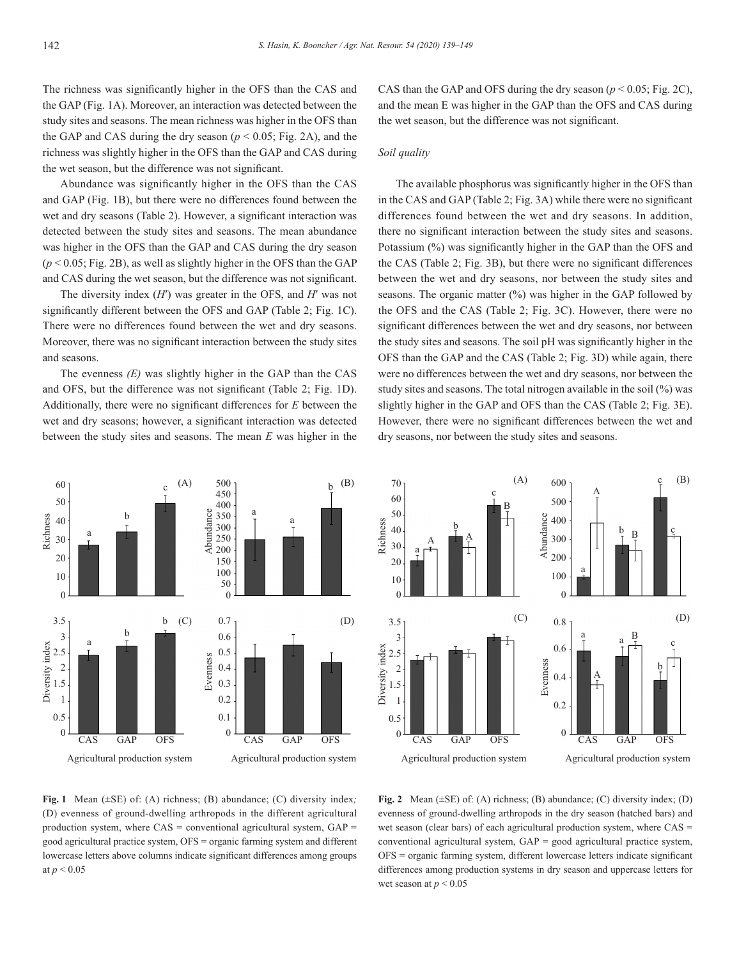The richness was significantly higher in the OFS than the CAS and the GAP (Fig. 1A). Moreover, an interaction was detected between the study sites and seasons. The mean richness was higher in the OFS than the GAP and CAS during the dry season  $(p < 0.05$ ; Fig. 2A), and the richness was slightly higher in the OFS than the GAP and CAS during the wet season, but the difference was not significant.

Abundance was significantly higher in the OFS than the CAS and GAP (Fig. 1B), but there were no differences found between the wet and dry seasons (Table 2). However, a significant interaction was detected between the study sites and seasons. The mean abundance was higher in the OFS than the GAP and CAS during the dry season  $(p < 0.05$ ; Fig. 2B), as well as slightly higher in the OFS than the GAP and CAS during the wet season, but the difference was not significant.

The diversity index (*H*′) was greater in the OFS, and *H*′ was not significantly different between the OFS and GAP (Table 2; Fig. 1C). There were no differences found between the wet and dry seasons. Moreover, there was no significant interaction between the study sites and seasons.

The evenness *(E)* was slightly higher in the GAP than the CAS and OFS, but the difference was not significant (Table 2; Fig. 1D). Additionally, there were no significant differences for *E* between the wet and dry seasons; however, a significant interaction was detected between the study sites and seasons. The mean *E* was higher in the CAS than the GAP and OFS during the dry season ( $p \le 0.05$ ; Fig. 2C), and the mean E was higher in the GAP than the OFS and CAS during the wet season, but the difference was not significant.

#### *Soil quality*

The available phosphorus was significantly higher in the OFS than in the CAS and GAP (Table 2; Fig. 3A) while there were no significant differences found between the wet and dry seasons. In addition, there no significant interaction between the study sites and seasons. Potassium (%) was significantly higher in the GAP than the OFS and the CAS (Table 2; Fig. 3B), but there were no significant differences between the wet and dry seasons, nor between the study sites and seasons. The organic matter  $(\%)$  was higher in the GAP followed by the OFS and the CAS (Table 2; Fig. 3C). However, there were no significant differences between the wet and dry seasons, nor between the study sites and seasons. The soil pH was significantly higher in the OFS than the GAP and the CAS (Table 2; Fig. 3D) while again, there were no differences between the wet and dry seasons, nor between the study sites and seasons. The total nitrogen available in the soil (%) was slightly higher in the GAP and OFS than the CAS (Table 2; Fig. 3E). However, there were no significant differences between the wet and dry seasons, nor between the study sites and seasons.





**Fig. 1** Mean (±SE) of: (A) richness; (B) abundance; (C) diversity index*;*  (D) evenness of ground-dwelling arthropods in the different agricultural production system, where  $CAS =$  conventional agricultural system,  $GAP =$ good agricultural practice system, OFS = organic farming system and different lowercase letters above columns indicate significant differences among groups at *p* < 0.05

**Fig. 2** Mean (±SE) of: (A) richness; (B) abundance; (C) diversity index; (D) evenness of ground-dwelling arthropods in the dry season (hatched bars) and wet season (clear bars) of each agricultural production system, where CAS = conventional agricultural system, GAP = good agricultural practice system, OFS = organic farming system, different lowercase letters indicate significant differences among production systems in dry season and uppercase letters for wet season at  $p < 0.05$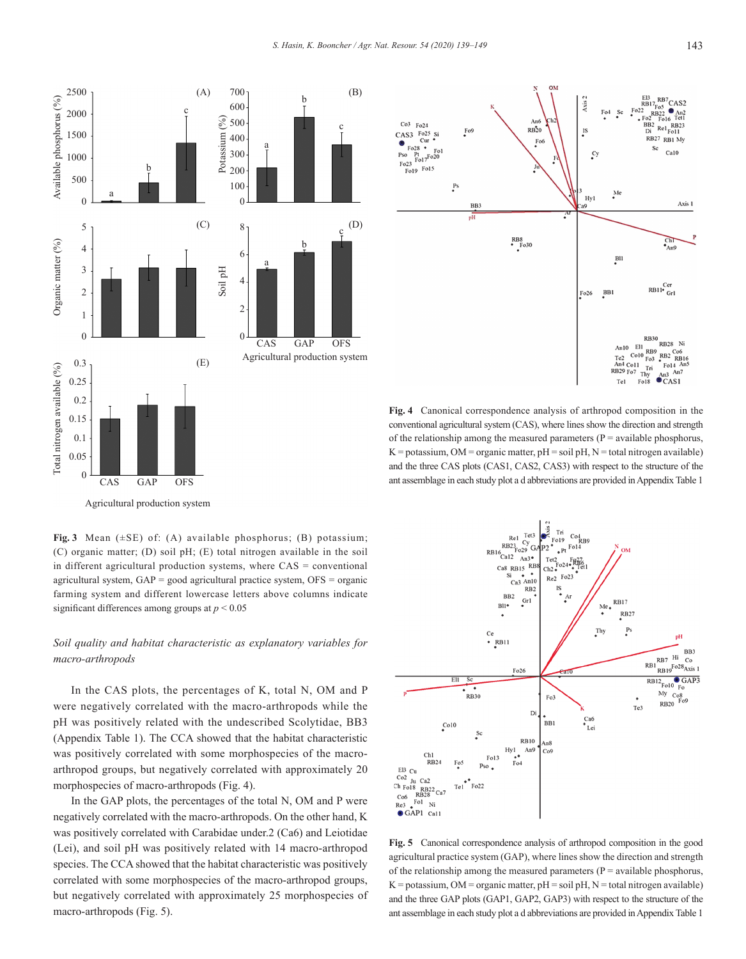



# *Soil quality and habitat characteristic as explanatory variables for macro-arthropods*

In the CAS plots, the percentages of K, total N, OM and P were negatively correlated with the macro-arthropods while the pH was positively related with the undescribed Scolytidae, BB3 (Appendix Table 1). The CCA showed that the habitat characteristic was positively correlated with some morphospecies of the macroarthropod groups, but negatively correlated with approximately 20 morphospecies of macro-arthropods (Fig. 4).

In the GAP plots, the percentages of the total N, OM and P were negatively correlated with the macro-arthropods. On the other hand, K was positively correlated with Carabidae under.2 (Ca6) and Leiotidae (Lei), and soil pH was positively related with 14 macro-arthropod species. The CCA showed that the habitat characteristic was positively correlated with some morphospecies of the macro-arthropod groups, but negatively correlated with approximately 25 morphospecies of macro-arthropods (Fig. 5).



**Fig. 4** Canonical correspondence analysis of arthropod composition in the conventional agricultural system (CAS), where lines show the direction and strength of the relationship among the measured parameters ( $P =$  available phosphorus,  $K =$  potassium, OM = organic matter,  $pH =$  soil  $pH$ ,  $N =$  total nitrogen available) and the three CAS plots (CAS1, CAS2, CAS3) with respect to the structure of the ant assemblage in each study plot a d abbreviations are provided in Appendix Table 1



**Fig. 5** Canonical correspondence analysis of arthropod composition in the good agricultural practice system (GAP), where lines show the direction and strength of the relationship among the measured parameters ( $P =$  available phosphorus,  $K =$  potassium, OM = organic matter,  $pH =$  soil  $pH$ ,  $N =$  total nitrogen available) and the three GAP plots (GAP1, GAP2, GAP3) with respect to the structure of the ant assemblage in each study plot a d abbreviations are provided in Appendix Table 1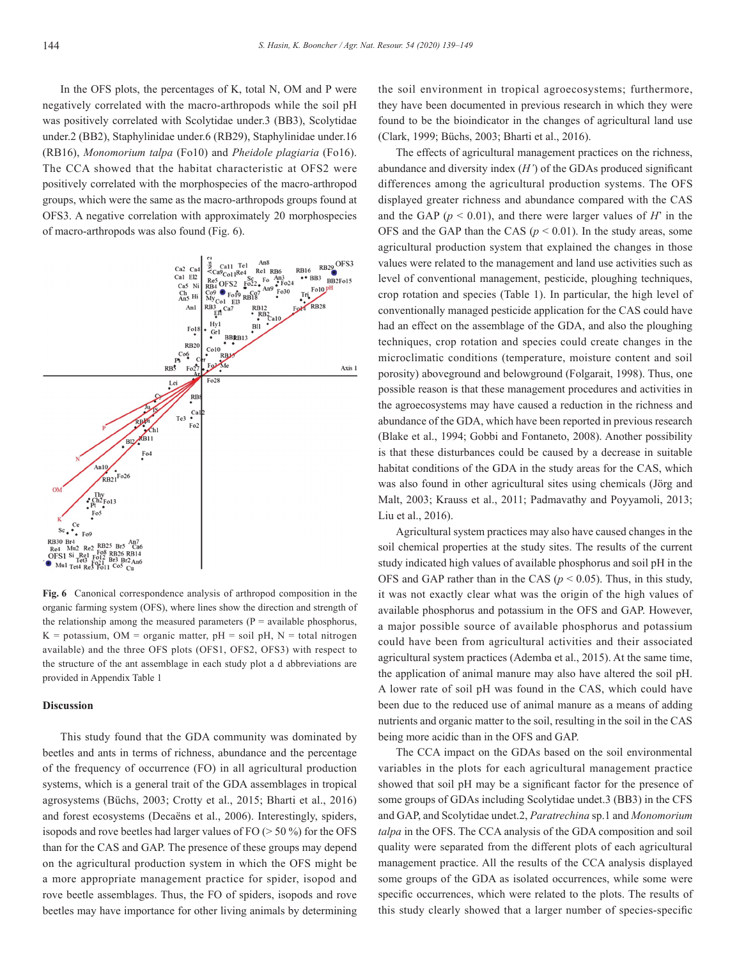In the OFS plots, the percentages of K, total N, OM and P were negatively correlated with the macro-arthropods while the soil pH was positively correlated with Scolytidae under.3 (BB3), Scolytidae under.2 (BB2), Staphylinidae under.6 (RB29), Staphylinidae under.16 (RB16), *Monomorium talpa* (Fo10) and *Pheidole plagiaria* (Fo16). The CCA showed that the habitat characteristic at OFS2 were positively correlated with the morphospecies of the macro-arthropod groups, which were the same as the macro-arthropods groups found at OFS3. A negative correlation with approximately 20 morphospecies of macro-arthropods was also found (Fig. 6).



**Fig. 6** Canonical correspondence analysis of arthropod composition in the organic farming system (OFS), where lines show the direction and strength of the relationship among the measured parameters  $(P = \alpha$ vailable phosphorus,  $K =$  potassium, OM = organic matter,  $pH =$  soil  $pH$ , N = total nitrogen available) and the three OFS plots (OFS1, OFS2, OFS3) with respect to the structure of the ant assemblage in each study plot a d abbreviations are provided in Appendix Table 1

### **Discussion**

This study found that the GDA community was dominated by beetles and ants in terms of richness, abundance and the percentage of the frequency of occurrence (FO) in all agricultural production systems, which is a general trait of the GDA assemblages in tropical agrosystems (Büchs, 2003; Crotty et al., 2015; Bharti et al., 2016) and forest ecosystems (Decaëns et al., 2006). Interestingly, spiders, isopods and rove beetles had larger values of  $FO$  ( $> 50\%$ ) for the OFS than for the CAS and GAP. The presence of these groups may depend on the agricultural production system in which the OFS might be a more appropriate management practice for spider, isopod and rove beetle assemblages. Thus, the FO of spiders, isopods and rove beetles may have importance for other living animals by determining the soil environment in tropical agroecosystems; furthermore, they have been documented in previous research in which they were found to be the bioindicator in the changes of agricultural land use (Clark, 1999; Büchs, 2003; Bharti et al., 2016).

The effects of agricultural management practices on the richness, abundance and diversity index (*H'*) of the GDAs produced significant differences among the agricultural production systems. The OFS displayed greater richness and abundance compared with the CAS and the GAP ( $p < 0.01$ ), and there were larger values of *H*<sup> $\prime$ </sup> in the OFS and the GAP than the CAS ( $p < 0.01$ ). In the study areas, some agricultural production system that explained the changes in those values were related to the management and land use activities such as level of conventional management, pesticide, ploughing techniques, crop rotation and species (Table 1). In particular, the high level of conventionally managed pesticide application for the CAS could have had an effect on the assemblage of the GDA, and also the ploughing techniques, crop rotation and species could create changes in the microclimatic conditions (temperature, moisture content and soil porosity) aboveground and belowground (Folgarait, 1998). Thus, one possible reason is that these management procedures and activities in the agroecosystems may have caused a reduction in the richness and abundance of the GDA, which have been reported in previous research (Blake et al., 1994; Gobbi and Fontaneto, 2008). Another possibility is that these disturbances could be caused by a decrease in suitable habitat conditions of the GDA in the study areas for the CAS, which was also found in other agricultural sites using chemicals (Jörg and Malt, 2003; Krauss et al., 2011; Padmavathy and Poyyamoli, 2013; Liu et al., 2016).

Agricultural system practices may also have caused changes in the soil chemical properties at the study sites. The results of the current study indicated high values of available phosphorus and soil pH in the OFS and GAP rather than in the CAS ( $p \le 0.05$ ). Thus, in this study, it was not exactly clear what was the origin of the high values of available phosphorus and potassium in the OFS and GAP. However, a major possible source of available phosphorus and potassium could have been from agricultural activities and their associated agricultural system practices (Ademba et al., 2015). At the same time, the application of animal manure may also have altered the soil pH. A lower rate of soil pH was found in the CAS, which could have been due to the reduced use of animal manure as a means of adding nutrients and organic matter to the soil, resulting in the soil in the CAS being more acidic than in the OFS and GAP.

The CCA impact on the GDAs based on the soil environmental variables in the plots for each agricultural management practice showed that soil pH may be a significant factor for the presence of some groups of GDAs including Scolytidae undet.3 (BB3) in the CFS and GAP, and Scolytidae undet.2, *Paratrechina* sp.1 and *Monomorium talpa* in the OFS. The CCA analysis of the GDA composition and soil quality were separated from the different plots of each agricultural management practice. All the results of the CCA analysis displayed some groups of the GDA as isolated occurrences, while some were specific occurrences, which were related to the plots. The results of this study clearly showed that a larger number of species-specific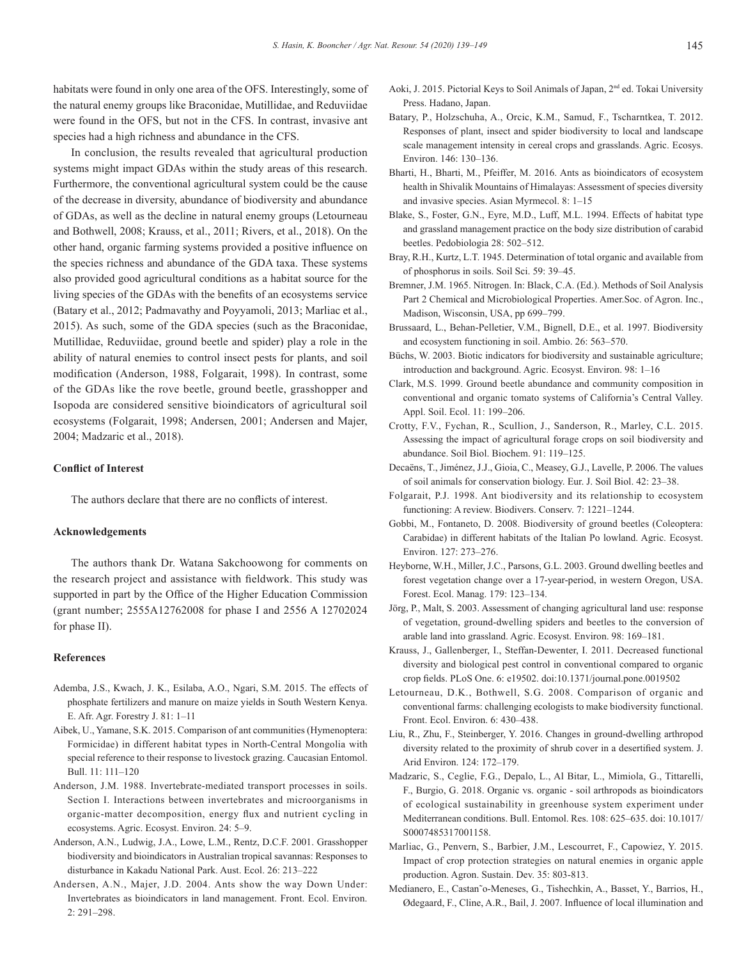habitats were found in only one area of the OFS. Interestingly, some of the natural enemy groups like Braconidae, Mutillidae, and Reduviidae were found in the OFS, but not in the CFS. In contrast, invasive ant species had a high richness and abundance in the CFS.

In conclusion, the results revealed that agricultural production systems might impact GDAs within the study areas of this research. Furthermore, the conventional agricultural system could be the cause of the decrease in diversity, abundance of biodiversity and abundance of GDAs, as well as the decline in natural enemy groups (Letourneau and Bothwell, 2008; Krauss, et al., 2011; Rivers, et al., 2018). On the other hand, organic farming systems provided a positive influence on the species richness and abundance of the GDA taxa. These systems also provided good agricultural conditions as a habitat source for the living species of the GDAs with the benefits of an ecosystems service (Batary et al., 2012; Padmavathy and Poyyamoli, 2013; Marliac et al., 2015). As such, some of the GDA species (such as the Braconidae, Mutillidae, Reduviidae, ground beetle and spider) play a role in the ability of natural enemies to control insect pests for plants, and soil modification (Anderson, 1988, Folgarait, 1998). In contrast, some of the GDAs like the rove beetle, ground beetle, grasshopper and Isopoda are considered sensitive bioindicators of agricultural soil ecosystems (Folgarait, 1998; Andersen, 2001; Andersen and Majer, 2004; Madzaric et al., 2018).

# **Conflict of Interest**

The authors declare that there are no conflicts of interest.

#### **Acknowledgements**

The authors thank Dr. Watana Sakchoowong for comments on the research project and assistance with fieldwork. This study was supported in part by the Office of the Higher Education Commission (grant number; 2555A12762008 for phase I and 2556 A 12702024 for phase II).

#### **References**

- Ademba, J.S., Kwach, J. K., Esilaba, A.O., Ngari, S.M. 2015. The effects of phosphate fertilizers and manure on maize yields in South Western Kenya. E. Afr. Agr. Forestry J. 81: 1–11
- Aibek, U., Yamane, S.K. 2015. Comparison of ant communities (Hymenoptera: Formicidae) in different habitat types in North-Central Mongolia with special reference to their response to livestock grazing. Caucasian Entomol. Bull. 11: 111–120
- Anderson, J.M. 1988. Invertebrate-mediated transport processes in soils. Section I. Interactions between invertebrates and microorganisms in organic-matter decomposition, energy flux and nutrient cycling in ecosystems. Agric. Ecosyst. Environ. 24: 5–9.
- Anderson, A.N., Ludwig, J.A., Lowe, L.M., Rentz, D.C.F. 2001. Grasshopper biodiversity and bioindicators in Australian tropical savannas: Responses to disturbance in Kakadu National Park. Aust. Ecol. 26: 213–222
- Andersen, A.N., Majer, J.D. 2004. Ants show the way Down Under: Invertebrates as bioindicators in land management. Front. Ecol. Environ. 2: 291–298.
- Aoki, J. 2015. Pictorial Keys to Soil Animals of Japan, 2nd ed. Tokai University Press. Hadano, Japan.
- Batary, P., Holzschuha, A., Orcic, K.M., Samud, F., Tscharntkea, T. 2012. Responses of plant, insect and spider biodiversity to local and landscape scale management intensity in cereal crops and grasslands. Agric. Ecosys. Environ. 146: 130–136.
- Bharti, H., Bharti, M., Pfeiffer, M. 2016. Ants as bioindicators of ecosystem health in Shivalik Mountains of Himalayas: Assessment of species diversity and invasive species. Asian Myrmecol. 8: 1–15
- Blake, S., Foster, G.N., Eyre, M.D., Luff, M.L. 1994. Effects of habitat type and grassland management practice on the body size distribution of carabid beetles. Pedobiologia 28: 502–512.
- Bray, R.H., Kurtz, L.T. 1945. Determination of total organic and available from of phosphorus in soils. Soil Sci. 59: 39–45.
- Bremner, J.M. 1965. Nitrogen. In: Black, C.A. (Ed.). Methods of Soil Analysis Part 2 Chemical and Microbiological Properties. Amer.Soc. of Agron. Inc., Madison, Wisconsin, USA, pp 699–799.
- Brussaard, L., Behan-Pelletier, V.M., Bignell, D.E., et al. 1997. Biodiversity and ecosystem functioning in soil. Ambio. 26: 563–570.
- Büchs, W. 2003. Biotic indicators for biodiversity and sustainable agriculture; introduction and background. Agric. Ecosyst. Environ. 98: 1–16
- Clark, M.S. 1999. Ground beetle abundance and community composition in conventional and organic tomato systems of California's Central Valley. Appl. Soil. Ecol. 11: 199–206.
- Crotty, F.V., Fychan, R., Scullion, J., Sanderson, R., Marley, C.L. 2015. Assessing the impact of agricultural forage crops on soil biodiversity and abundance. Soil Biol. Biochem. 91: 119–125.
- Decaëns, T., Jiménez, J.J., Gioia, C., Measey, G.J., Lavelle, P. 2006. The values of soil animals for conservation biology. Eur. J. Soil Biol. 42: 23–38.
- Folgarait, P.J. 1998. Ant biodiversity and its relationship to ecosystem functioning: A review. Biodivers. Conserv. 7: 1221–1244.
- Gobbi, M., Fontaneto, D. 2008. Biodiversity of ground beetles (Coleoptera: Carabidae) in different habitats of the Italian Po lowland. Agric. Ecosyst. Environ. 127: 273–276.
- Heyborne, W.H., Miller, J.C., Parsons, G.L. 2003. Ground dwelling beetles and forest vegetation change over a 17-year-period, in western Oregon, USA. Forest. Ecol. Manag. 179: 123–134.
- Jörg, P., Malt, S. 2003. Assessment of changing agricultural land use: response of vegetation, ground-dwelling spiders and beetles to the conversion of arable land into grassland. Agric. Ecosyst. Environ. 98: 169–181.
- Krauss, J., Gallenberger, I., Steffan-Dewenter, I. 2011. Decreased functional diversity and biological pest control in conventional compared to organic crop fields. PLoS One. 6: e19502. doi:10.1371/journal.pone.0019502
- Letourneau, D.K., Bothwell, S.G. 2008. Comparison of organic and conventional farms: challenging ecologists to make biodiversity functional. Front. Ecol. Environ. 6: 430–438.
- Liu, R., Zhu, F., Steinberger, Y. 2016. Changes in ground-dwelling arthropod diversity related to the proximity of shrub cover in a desertified system. J. Arid Environ. 124: 172–179.
- Madzaric, S., Ceglie, F.G., Depalo, L., Al Bitar, L., Mimiola, G., Tittarelli, F., Burgio, G. 2018. Organic vs. organic - soil arthropods as bioindicators of ecological sustainability in greenhouse system experiment under Mediterranean conditions. Bull. Entomol. Res. 108: 625–635. doi: 10.1017/ S0007485317001158.
- Marliac, G., Penvern, S., Barbier, J.M., Lescourret, F., Capowiez, Y. 2015. Impact of crop protection strategies on natural enemies in organic apple production. Agron. Sustain. Dev. 35: 803-813.
- Medianero, E., Castan˜o-Meneses, G., Tishechkin, A., Basset, Y., Barrios, H., Ødegaard, F., Cline, A.R., Bail, J. 2007. Influence of local illumination and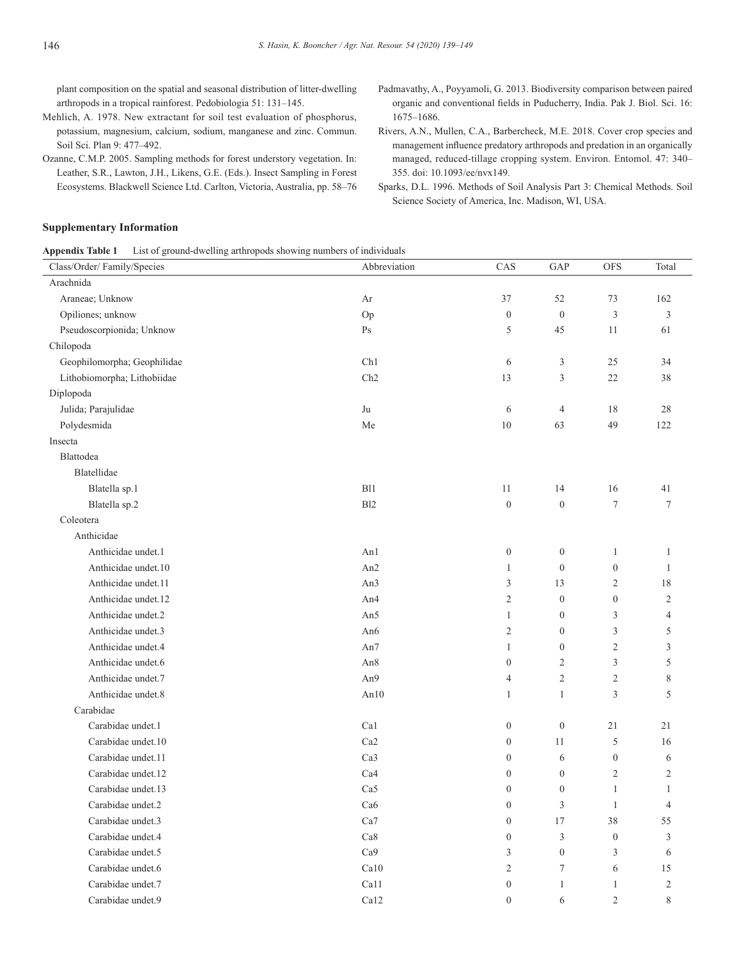plant composition on the spatial and seasonal distribution of litter-dwelling arthropods in a tropical rainforest. Pedobiologia 51: 131–145.

- Mehlich, A. 1978. New extractant for soil test evaluation of phosphorus, potassium, magnesium, calcium, sodium, manganese and zinc. Commun. Soil Sci. Plan 9: 477–492.
- Ozanne, C.M.P. 2005. Sampling methods for forest understory vegetation. In: Leather, S.R., Lawton, J.H., Likens, G.E. (Eds.). Insect Sampling in Forest Ecosystems. Blackwell Science Ltd. Carlton, Victoria, Australia, pp. 58–76
- Padmavathy, A., Poyyamoli, G. 2013. Biodiversity comparison between paired organic and conventional fields in Puducherry, India. Pak J. Biol. Sci. 16: 1675–1686.
- Rivers, A.N., Mullen, C.A., Barbercheck, M.E. 2018. Cover crop species and management influence predatory arthropods and predation in an organically managed, reduced-tillage cropping system. Environ. Entomol. 47: 340– 355. doi: 10.1093/ee/nvx149.
- Sparks, D.L. 1996. Methods of Soil Analysis Part 3: Chemical Methods. Soil Science Society of America, Inc. Madison, WI, USA.

# **Supplementary Information**

| <b>Appendix Table 1</b> | List of ground-dwelling arthropods showing numbers of individuals |  |  |  |
|-------------------------|-------------------------------------------------------------------|--|--|--|
|-------------------------|-------------------------------------------------------------------|--|--|--|

| Class/Order/Family/Species  | Abbreviation    | CAS              | GAP                         | <b>OFS</b>       | Total          |
|-----------------------------|-----------------|------------------|-----------------------------|------------------|----------------|
| Arachnida                   |                 |                  |                             |                  |                |
| Araneae; Unknow             | Ar              | 37               | 52                          | 73               | 162            |
| Opiliones; unknow           | Op              | $\mathbf{0}$     | $\boldsymbol{0}$            | 3                | $\mathfrak{Z}$ |
| Pseudoscorpionida; Unknow   | Ps              | 5                | 45                          | 11               | 61             |
| Chilopoda                   |                 |                  |                             |                  |                |
| Geophilomorpha; Geophilidae | Ch1             | 6                | $\ensuremath{\mathfrak{Z}}$ | 25               | 34             |
| Lithobiomorpha; Lithobiidae | Ch2             | 13               | $\mathfrak z$               | 22               | 38             |
| Diplopoda                   |                 |                  |                             |                  |                |
| Julida; Parajulidae         | Ju              | 6                | $\overline{4}$              | 18               | 28             |
| Polydesmida                 | Me              | 10               | 63                          | 49               | 122            |
| Insecta                     |                 |                  |                             |                  |                |
| Blattodea                   |                 |                  |                             |                  |                |
| Blatellidae                 |                 |                  |                             |                  |                |
| Blatella sp.1               | B11             | 11               | 14                          | 16               | 41             |
| Blatella sp.2               | B12             | $\mathbf{0}$     | $\boldsymbol{0}$            | $\tau$           | $\tau$         |
| Coleotera                   |                 |                  |                             |                  |                |
| Anthicidae                  |                 |                  |                             |                  |                |
| Anthicidae undet.1          | An1             | $\mathbf{0}$     | $\boldsymbol{0}$            | $\mathbf{1}$     | 1              |
| Anthicidae undet.10         | An2             | $\mathbf{1}$     | $\overline{0}$              | $\boldsymbol{0}$ | $\mathbf{1}$   |
| Anthicidae undet.11         | An3             | $\mathfrak z$    | 13                          | $\overline{2}$   | $18\,$         |
| Anthicidae undet.12         | An <sub>4</sub> | $\overline{2}$   | $\boldsymbol{0}$            | $\boldsymbol{0}$ | $\overline{2}$ |
| Anthicidae undet.2          | An5             | $\mathbf{1}$     | $\overline{0}$              | 3                | $\overline{4}$ |
| Anthicidae undet.3          | An6             | $\overline{c}$   | $\boldsymbol{0}$            | $\mathfrak z$    | $\sqrt{5}$     |
| Anthicidae undet.4          | An7             | $\mathbf{1}$     | $\boldsymbol{0}$            | $\overline{c}$   | 3              |
| Anthicidae undet.6          | An8             | $\overline{0}$   | $\overline{2}$              | $\mathfrak{Z}$   | 5              |
| Anthicidae undet.7          | An9             | $\overline{4}$   | $\sqrt{2}$                  | $\sqrt{2}$       | $\,$ $\,$      |
| Anthicidae undet.8          | An10            | $\mathbf{1}$     | $\mathbf{1}$                | 3                | 5              |
| Carabidae                   |                 |                  |                             |                  |                |
| Carabidae undet.1           | Ca1             | $\mathbf{0}$     | $\boldsymbol{0}$            | 21               | 21             |
| Carabidae undet.10          | Ca <sub>2</sub> | $\mathbf{0}$     | 11                          | 5                | 16             |
| Carabidae undet.11          | Ca3             | $\mathbf{0}$     | 6                           | $\boldsymbol{0}$ | 6              |
| Carabidae undet.12          | Ca4             | $\boldsymbol{0}$ | $\boldsymbol{0}$            | $\overline{c}$   | $\mathfrak{2}$ |
| Carabidae undet.13          | Ca5             | $\boldsymbol{0}$ | $\boldsymbol{0}$            | $\mathbf{1}$     | $\mathbf{1}$   |
| Carabidae undet.2           | Ca6             | $\boldsymbol{0}$ | $\mathfrak{Z}$              | $\mathbf{1}$     | $\overline{4}$ |
| Carabidae undet.3           | Ca7             | $\mathbf{0}$     | 17                          | 38               | 55             |
| Carabidae undet.4           | Ca8             | $\boldsymbol{0}$ | $\mathfrak z$               | $\boldsymbol{0}$ | 3              |
| Carabidae undet.5           | Ca9             | 3                | $\boldsymbol{0}$            | 3                | 6              |
| Carabidae undet.6           | Ca10            | $\overline{2}$   | $\overline{7}$              | 6                | 15             |
| Carabidae undet.7           | Ca11            | $\boldsymbol{0}$ | $\mathbf{1}$                | 1                | $\sqrt{2}$     |
| Carabidae undet.9           | Ca12            | $\overline{0}$   | 6                           | $\mathfrak{2}$   | 8              |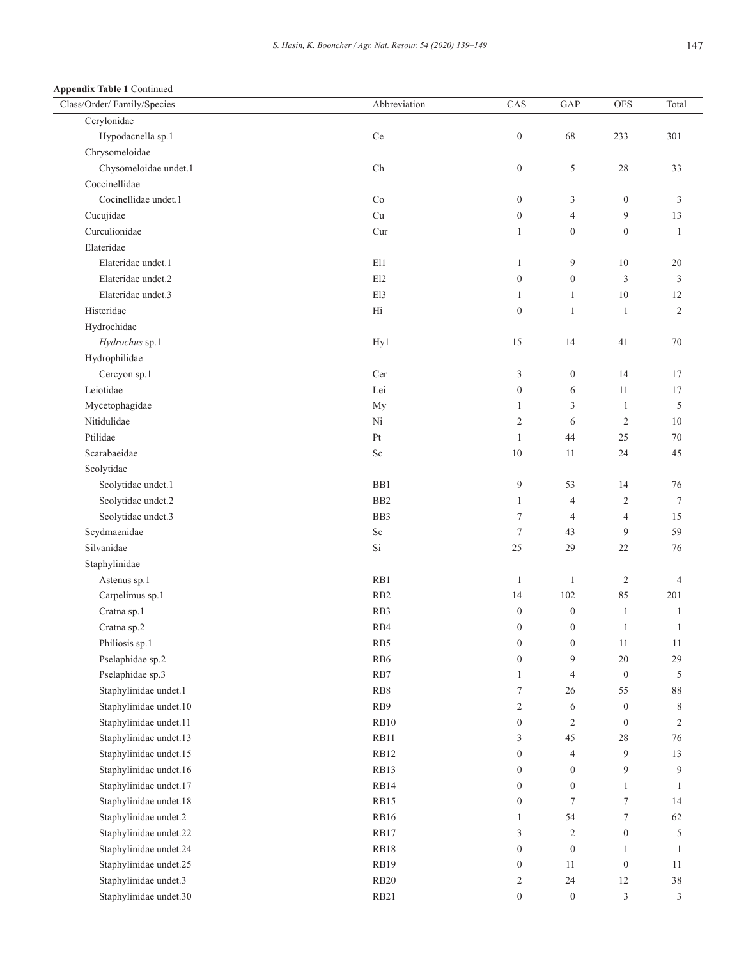**Appendix Table 1** Continued

| Class/Order/Family/Species | Abbreviation    | CAS              | $\operatorname{GAP}$    | <b>OFS</b>       | Total            |
|----------------------------|-----------------|------------------|-------------------------|------------------|------------------|
| Cerylonidae                |                 |                  |                         |                  |                  |
| Hypodacnella sp.1          | Ce              | $\boldsymbol{0}$ | 68                      | 233              | 301              |
| Chrysomeloidae             |                 |                  |                         |                  |                  |
| Chysomeloidae undet.1      | ${\rm Ch}$      | $\boldsymbol{0}$ | 5                       | $28\,$           | 33               |
| Coccinellidae              |                 |                  |                         |                  |                  |
| Cocinellidae undet.1       | Co              | $\boldsymbol{0}$ | 3                       | $\boldsymbol{0}$ | 3                |
| Cucujidae                  | Cu              | $\boldsymbol{0}$ | $\overline{4}$          | 9                | 13               |
| Curculionidae              | Cur             | $\mathbf{1}$     | $\boldsymbol{0}$        | $\boldsymbol{0}$ | $\mathbf{1}$     |
| Elateridae                 |                 |                  |                         |                  |                  |
| Elateridae undet.1         | E11             | $\mathbf{1}$     | 9                       | $10\,$           | 20               |
| Elateridae undet.2         | E12             | $\boldsymbol{0}$ | $\boldsymbol{0}$        | $\mathfrak z$    | 3                |
| Elateridae undet.3         | El3             | $\mathbf{1}$     | $\mathbf{1}$            | $10\,$           | 12               |
| Histeridae                 | Hi              | $\boldsymbol{0}$ | $\mathbf{1}$            | $\mathbf{1}$     | $\mathbf{2}$     |
| Hydrochidae                |                 |                  |                         |                  |                  |
| Hydrochus sp.1             | Hy1             | 15               | 14                      | 41               | $70\,$           |
| Hydrophilidae              |                 |                  |                         |                  |                  |
| Cercyon sp.1               | Cer             | $\mathfrak{Z}$   | $\boldsymbol{0}$        | 14               | 17               |
| Leiotidae                  | Lei             | $\boldsymbol{0}$ | 6                       | 11               | 17               |
| Mycetophagidae             | My              | $\mathbf{1}$     | 3                       | $\mathbf{1}$     | 5                |
| Nitidulidae                | Ni              | $\overline{c}$   | 6                       | $\overline{2}$   | 10               |
| Ptilidae                   | Pt              | $\mathbf{1}$     | 44                      | 25               | 70               |
| Scarabaeidae               | $\rm Sc$        | $10\,$           | 11                      | 24               | 45               |
| Scolytidae                 |                 |                  |                         |                  |                  |
| Scolytidae undet.1         | BB1             | 9                | 53                      | 14               | 76               |
| Scolytidae undet.2         | B <sub>B2</sub> | $\mathbf{1}$     | $\overline{4}$          | $\overline{c}$   | $\tau$           |
| Scolytidae undet.3         | BB3             | $\boldsymbol{7}$ | $\overline{4}$          | $\overline{4}$   | 15               |
| Scydmaenidae               | $\rm Sc$        | $\tau$           | 43                      | 9                | 59               |
| Silvanidae                 | Si              | 25               | 29                      | $22\,$           | 76               |
| Staphylinidae              |                 |                  |                         |                  |                  |
| Astenus sp.1               | RB1             | $\mathbf{1}$     | $\mathbf{1}$            | $\overline{c}$   | $\overline{4}$   |
| Carpelimus sp.1            | RB <sub>2</sub> | 14               | 102                     | 85               | 201              |
| Cratna sp.1                | RB3             | $\boldsymbol{0}$ | $\boldsymbol{0}$        | $\mathbf{1}$     | $\mathbf{1}$     |
| Cratna sp.2                | RB4             | $\boldsymbol{0}$ | $\boldsymbol{0}$        | $\mathbf{1}$     | $\mathbf{1}$     |
| Philiosis sp.1             | RB5             | $\boldsymbol{0}$ | $\mathbf{0}$            | 11               | 11               |
| Pselaphidae sp.2           | RB <sub>6</sub> | $\boldsymbol{0}$ | 9                       | 20               | 29               |
| Pselaphidae sp.3           | $\rm RB7$       | $\mathbf{1}$     | $\overline{4}$          | $\boldsymbol{0}$ | 5                |
| Staphylinidae undet.1      | $\mathbf{RB8}$  | $\boldsymbol{7}$ | 26                      | 55               | $\bf 88$         |
| Staphylinidae undet.10     | RB9             | $\overline{c}$   | 6                       | $\boldsymbol{0}$ | $\,$ $\,$        |
| Staphylinidae undet.11     | <b>RB10</b>     | $\boldsymbol{0}$ | $\overline{\mathbf{c}}$ | $\boldsymbol{0}$ | $\boldsymbol{2}$ |
| Staphylinidae undet.13     | RB11            | 3                | $45\,$                  | 28               | 76               |
| Staphylinidae undet.15     | RB12            | $\boldsymbol{0}$ | $\overline{4}$          | 9                | 13               |
| Staphylinidae undet.16     | RB13            | $\boldsymbol{0}$ | $\boldsymbol{0}$        | 9                | 9                |
| Staphylinidae undet.17     | RB14            | $\boldsymbol{0}$ | $\boldsymbol{0}$        | 1                | 1                |
| Staphylinidae undet.18     | <b>RB15</b>     | $\boldsymbol{0}$ | $\tau$                  | $\boldsymbol{7}$ | 14               |
| Staphylinidae undet.2      | RB16            | $\mathbf{1}$     | 54                      | $\boldsymbol{7}$ | 62               |
| Staphylinidae undet.22     | RB17            | 3                | 2                       | $\boldsymbol{0}$ | 5                |
| Staphylinidae undet.24     | RB18            | $\boldsymbol{0}$ | $\boldsymbol{0}$        | $\mathbf{1}$     | $\mathbf{1}$     |
| Staphylinidae undet.25     | <b>RB19</b>     | $\boldsymbol{0}$ | 11                      | $\boldsymbol{0}$ | $11\,$           |
| Staphylinidae undet.3      | <b>RB20</b>     | $\sqrt{2}$       | $24\,$                  | $12\,$           | $38\,$           |
| Staphylinidae undet.30     | RB21            | $\boldsymbol{0}$ | $\boldsymbol{0}$        | $\mathfrak z$    | 3                |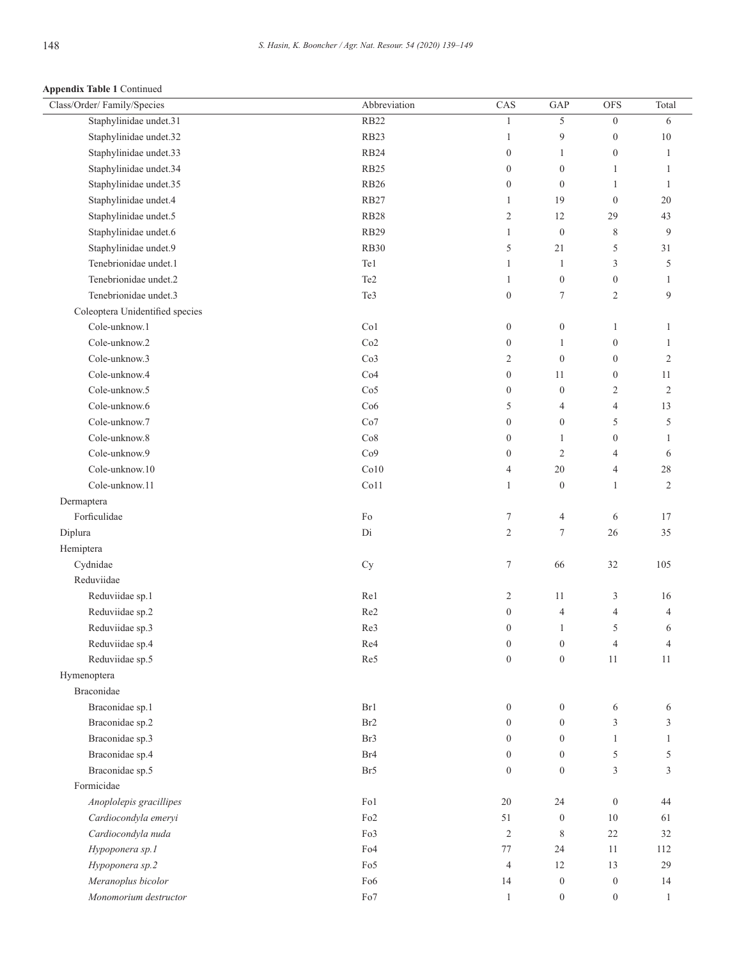**Appendix Table 1** Continued

| Class/Order/Family/Species      | Abbreviation     | CAS              | GAP              | <b>OFS</b>       | Total          |
|---------------------------------|------------------|------------------|------------------|------------------|----------------|
| Staphylinidae undet.31          | <b>RB22</b>      | $\mathbf{1}$     | 5                | $\overline{0}$   | 6              |
| Staphylinidae undet.32          | RB <sub>23</sub> | 1                | 9                | $\boldsymbol{0}$ | $10\,$         |
| Staphylinidae undet.33          | <b>RB24</b>      | $\boldsymbol{0}$ | $\mathbf{1}$     | $\boldsymbol{0}$ | $\mathbf{1}$   |
| Staphylinidae undet.34          | RB <sub>25</sub> | $\boldsymbol{0}$ | $\boldsymbol{0}$ | $\mathbf{1}$     | $\mathbf{1}$   |
| Staphylinidae undet.35          | <b>RB26</b>      | $\boldsymbol{0}$ | $\boldsymbol{0}$ | 1                | $\mathbf{1}$   |
| Staphylinidae undet.4           | RB27             | $\mathbf{1}$     | 19               | $\mathbf{0}$     | 20             |
| Staphylinidae undet.5           | RB28             | $\mathbf{2}$     | 12               | 29               | 43             |
| Staphylinidae undet.6           | <b>RB29</b>      | $\mathbf{1}$     | $\boldsymbol{0}$ | $\,$ 8 $\,$      | 9              |
| Staphylinidae undet.9           | <b>RB30</b>      | 5                | $21\,$           | 5                | 31             |
| Tenebrionidae undet.1           | Te1              | 1                | $\mathbf{1}$     | 3                | 5              |
| Tenebrionidae undet.2           | Te <sub>2</sub>  | $\mathbf{1}$     | $\boldsymbol{0}$ | $\boldsymbol{0}$ | 1              |
| Tenebrionidae undet.3           | Te3              | $\boldsymbol{0}$ | $\boldsymbol{7}$ | 2                | 9              |
| Coleoptera Unidentified species |                  |                  |                  |                  |                |
| Cole-unknow.1                   | Co1              | $\boldsymbol{0}$ | $\boldsymbol{0}$ | 1                | 1              |
| Cole-unknow.2                   | Co2              | $\boldsymbol{0}$ | 1                | $\boldsymbol{0}$ | 1              |
| Cole-unknow.3                   | Co3              | $\overline{c}$   | $\boldsymbol{0}$ | $\boldsymbol{0}$ | $\overline{c}$ |
| Cole-unknow.4                   | Co4              | $\boldsymbol{0}$ | 11               | $\overline{0}$   | 11             |
| Cole-unknow.5                   | Co <sub>5</sub>  | $\boldsymbol{0}$ | $\boldsymbol{0}$ | 2                | $\mathbf{2}$   |
| Cole-unknow.6                   |                  |                  |                  |                  |                |
| Cole-unknow.7                   | Co6              | 5                | $\overline{4}$   | 4                | 13             |
|                                 | Co7              | $\boldsymbol{0}$ | $\boldsymbol{0}$ | 5                | 5              |
| Cole-unknow.8                   | Co8              | $\boldsymbol{0}$ | 1                | $\boldsymbol{0}$ | 1              |
| Cole-unknow.9                   | Co9              | $\boldsymbol{0}$ | $\mathfrak{2}$   | 4                | 6              |
| Cole-unknow.10                  | Co10             | $\overline{4}$   | $20\,$           | 4                | $28\,$         |
| Cole-unknow.11                  | Co11             | 1                | $\boldsymbol{0}$ | $\mathbf{1}$     | $\mathbf{2}$   |
| Dermaptera                      |                  |                  |                  |                  |                |
| Forficulidae                    | $\rm{Fo}$        | $\tau$           | 4                | 6                | 17             |
| Diplura                         | Di               | $\mathbf{2}$     | $\boldsymbol{7}$ | 26               | 35             |
| Hemiptera                       |                  |                  |                  |                  |                |
| Cydnidae                        | Cy               | $\tau$           | 66               | $32\,$           | 105            |
| Reduviidae                      |                  |                  |                  |                  |                |
| Reduviidae sp.1                 | Re1              | $\overline{c}$   | 11               | 3                | 16             |
| Reduviidae sp.2                 | Re2              | $\boldsymbol{0}$ | $\overline{4}$   | 4                | 4              |
| Reduviidae sp.3                 | Re3              | $\boldsymbol{0}$ | $\mathbf{1}$     | 5                | 6              |
| Reduviidae sp.4                 | Re4              | $\boldsymbol{0}$ | $\boldsymbol{0}$ | 4                | $\overline{4}$ |
| Reduviidae sp.5                 | Re5              | $\theta$         | $\boldsymbol{0}$ | 11               | 11             |
| Hymenoptera                     |                  |                  |                  |                  |                |
| Braconidae                      |                  |                  |                  |                  |                |
| Braconidae sp.1                 | Br1              | $\boldsymbol{0}$ | $\boldsymbol{0}$ | 6                | 6              |
| Braconidae sp.2                 | Br <sub>2</sub>  | $\overline{0}$   | $\boldsymbol{0}$ | 3                | 3              |
| Braconidae sp.3                 | Br3              | $\overline{0}$   | $\boldsymbol{0}$ | $\mathbf{1}$     | $\mathbf{1}$   |
| Braconidae sp.4                 | Br <sub>4</sub>  | $\overline{0}$   | $\boldsymbol{0}$ | 5                | 5              |
| Braconidae sp.5                 | Br <sub>5</sub>  | $\boldsymbol{0}$ | $\boldsymbol{0}$ | 3                | 3              |
| Formicidae                      |                  |                  |                  |                  |                |
| Anoplolepis gracillipes         | Fo1              | $20\,$           | 24               | $\boldsymbol{0}$ | 44             |
| Cardiocondyla emeryi            | Fo <sub>2</sub>  | 51               | $\boldsymbol{0}$ | $10\,$           | 61             |
| Cardiocondyla nuda              | Fo3              | 2                | 8                | 22               | 32             |
| Hypoponera sp.1                 | Fo <sub>4</sub>  | 77               | 24               | $11\,$           | 112            |
| Hypoponera sp.2                 | Fo5              | $\overline{4}$   | 12               | 13               | 29             |
| Meranoplus bicolor              | Fo <sub>6</sub>  | 14               | $\boldsymbol{0}$ | $\boldsymbol{0}$ | 14             |
| Monomorium destructor           | Fo7              | $\mathbf{1}$     | $\boldsymbol{0}$ | $\boldsymbol{0}$ | $\mathbf{1}$   |
|                                 |                  |                  |                  |                  |                |